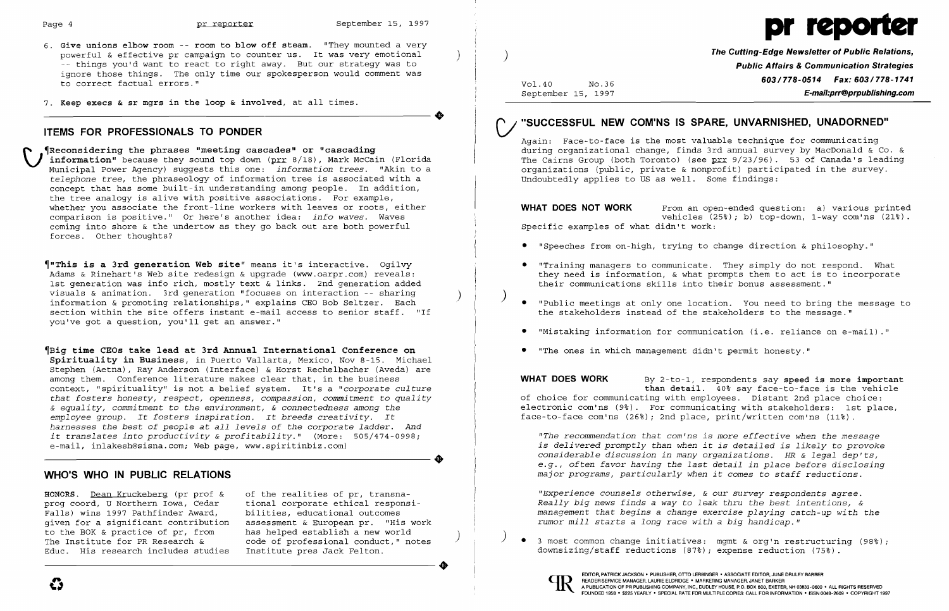$\bullet$ 

 $\clubsuit$ 



- 6. **Give unions elbow room -- room to blow off steam.** "They mounted a very powerful & effective pr campaign to counter us. It was very emotional<br>-- things you'd want to react to right away. But our strategy was to ignore those things. The only time our spokesperson would comment was to correct factual errors."
- 7. **Keep execs & sr mgrs in the loop & involved,** at all times.

## **ITEMS FOR PROFESSIONALS TO PONDER**

**(Reconsidering the phrases "meeting cascades" or "cascading<br>
<b>information**" because they sound top down (prr 8/18), Mark McCain (Florida Municipal Power Agency) suggests this one: *information trees.* "Akin to a *telephone tree,* the phraseology of information tree is associated with a concept that has some built-in understanding among people. In addition, the tree analogy is alive with positive associations. For example, whether you associate the front-line workers with leaves or roots, either comparison is positive." Or here's another idea: *info waves.* Waves coming into shore & the undertow as they go back out are both powerful forces. Other thoughts?

of the realities of pr, transnational corporate ethical responsibilities, educational outcomes assessment & European pr. "His work<br>has helped establish a new world code of professional conduct," notes Institute pres Jack Felton. The Institute for PR Research & code of professional conduct, " notes <br>Educ. His research includes studies Institute pres Jack Felton.

~"This **is a 3rd generation Web site"** means it's interactive. Ogilvy Adams & Rinehart's Web site redesign & upgrade (www.oarpr.com) reveals: 1st generation was info rich, mostly text & links. 2nd generation added visuals & animation. 3rd generation "focuses on interaction -- sharing<br>information & promoting relationships," explains CEO Bob Seltzer. Each section within the site offers instant e-mail access to senior staff. "If you've got a question, you'll get an answer."

~Big **time CECs take lead at 3rd Annual International Conference on Spirituality in Business,** in Puerto Vallarta, Mexico, Nov 8-15. Michael Stephen (Aetna), Ray Anderson (Interface) & Horst Rechelbacher (Aveda) are among them. Conference literature makes clear that, in the business context, "spirituality" is not a belief system. It's a *"corporate culture that fosters honesty, respect, openness, compassion, commitment* to *quality & equality, commitment* to *the environment,* & *connectedness among the employee group. It fosters inspiration. It breeds creativity. It harnesses the best of people* at *all levels of the corporate ladder. And it translates into productivity* & *profitability."* (More: 505/474-0998; e-mail, inlakesh@sisna.com; Web page, www.spiritinbiz.com)

# **WHO'S WHO IN PUBLIC RELATIONS**

**HONORS.** Dean Kruckeberg (pr prof & prog coord, U Northern Iowa, Cedar Falls) wins 1997 Pathfinder Award, given for a significant contribution to the BOK & practice of pr, from The Institute for PR Research & Educ. His research includes studies )

Vol.40 No.36 September 15, 1997

**The Cutting-Edge Newsletter of Public Relations, Public Affairs &Communication Strategies 603/778-0514 Fax: 603/778-1741 E-mail:prr@prpublishing.com** 

"Speeches from on-high, trying to change direction & philosophy."

# **CI "SUCCESSFUL NEW COMiNS IS SPARE, UNVARNISHED, UNADORNED"**

Again: Face-to-face is the most valuable technique for communicating during organizational change, finds 3rd annual survey by MacDonald & Co. & The Cairns Group (both Toronto) (see prr 9/23/96). 53 of Canada's leading organizations (public, private & nonprofit) participated in the survey. Undoubtedly applies to US as well. Some findings:

**WHAT DOES NOT WORK** From an open-ended question: a) various printed vehicles (25%); b) top-down, l-way com'ns (21%). Specific examples of what didn't work:

• "Training managers to communicate. They simply do not respond. What they need is information, & what prompts them to act is to incorporate

)

• "Public meetings at only one location. You need to bring the message to

- 
- their communications skills into their bonus assessment."
- the stakeholders instead of the stakeholders to the message."
- 
- • "The ones in which management didn't permit honesty."

• "Mistaking information for communication (i.e. reliance on e-mail) "

**WHAT DOES WORK** By 2-to-l, respondents say **speed is more important than detail.** 40% say face-to-face is the vehicle of choice for communicating with employees. Distant 2nd place choice: electronic com'ns (9%). For communicating with stakeholders: 1st place, face-to-face com'ns (26%); 2nd place, print/written com'ns (11%).

*"The recommendation that com'ns is more effective when the message is delivered promptly than when it is detailed is likely* to *provoke considerable discussion in many organizations. HR* & *legal dep'ts, e.g., often favor having the last detail in place before disclosing major programs, particularly when it comes* to *staff reductions.* 

*"Experience counsels otherwise,* & *our survey respondents agree. Really big news finds* a way to *leak thru the best intentions, & management that begins* a *change exercise playing catch-up with the rumor mill starts* a *long race wi th* a *big handicap. "* 

) • 3 most common change initiatives: mgmt & org'n restructuring (98%); downsizing/staff reductions (87%); expense reduction (75%).